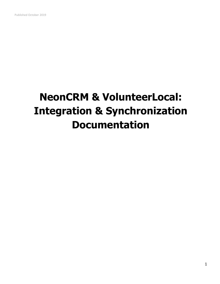# **NeonCRM & VolunteerLocal: Integration & Synchronization Documentation**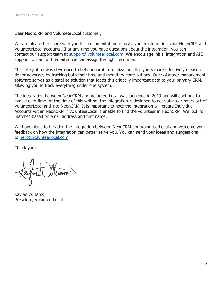Dear NeonCRM and VolunteerLocal customer,

We are pleased to share with you this documentation to assist you in integrating your NeonCRM and VolunteerLocal accounts. If at any time you have questions about the integration, you can contact our support team at [support@volunteerlocal.com.](mailto:support@volunteerlocal.com) We encourage initial integration and API support to start with email so we can assign the right resource.

This integration was developed to help nonprofit organizations like yours more effectively measure donor advocacy by tracking both their time and monetary contributions. Our volunteer management software serves as a satellite solution that feeds this critically important data to your primary CRM, allowing you to track everything under one system.

The integration between NeonCRM and VolunteerLocal was launched in 2019 and will continue to evolve over time. At the time of this writing, the integration is designed to get volunteer hours out of VolunteerLocal and into NeonCRM. It is important to note the integration will create Individual Accounts within NeonCRM if VolunteerLocal is unable to find the volunteer in NeonCRM. We look for matches based on email address and first name.

We have plans to broaden the integration between NeonCRM and VolunteerLocal and welcome your feedback on how the integration can better serve you. You can send your ideas and suggestions to [hello@volunteerlocal.com.](mailto:hello@volunteerlocal.com)

Thank you-

Kaylee Williams President, VolunteerLocal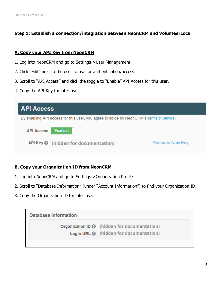### **Step 1: Establish a connection/integration between NeonCRM and VolunteerLocal**

#### **A. Copy your API Key from NeonCRM**

- 1. Log into NeonCRM and go to Settings->User Management
- 2. Click "Edit" next to the user to use for authentication/access.
- 3. Scroll to "API Access" and click the toggle to "Enable" API Access for this user.
- 4. Copy the API Key for later use.

| <b>API Access</b>                                                                       |                                               |                  |  |  |  |
|-----------------------------------------------------------------------------------------|-----------------------------------------------|------------------|--|--|--|
| By enabling API access for this user, you agree to abide by NeonCRM's Terms of Service. |                                               |                  |  |  |  |
| <b>API Access</b>                                                                       | <b>Enabled</b>                                |                  |  |  |  |
|                                                                                         | $API Key \bigcirc$ (hidden for documentation) | Generate New Key |  |  |  |
|                                                                                         |                                               |                  |  |  |  |

#### **B. Copy your Organization ID from NeonCRM**

- 1. Log into NeonCRM and go to Settings->Organization Profile
- 2. Scroll to "Database Information" (under "Account Information") to find your Organization ID.
- 3. Copy the Organization ID for later use.

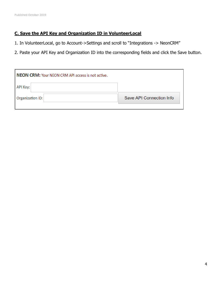# **C. Save the API Key and Organization ID in VolunteerLocal**

- 1. In VolunteerLocal, go to Account->Settings and scroll to "Integrations -> NeonCRM"
- 2. Paste your API Key and Organization ID into the corresponding fields and click the Save button.

| NEON CRM: Your NEON CRM API access is not active. |                          |  |  |
|---------------------------------------------------|--------------------------|--|--|
| API Key:                                          |                          |  |  |
| Organization ID:                                  | Save API Connection Info |  |  |
|                                                   |                          |  |  |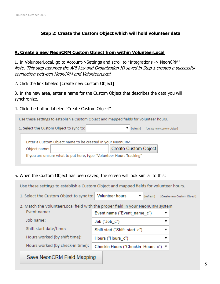# **Step 2: Create the Custom Object which will hold volunteer data**

#### **A. Create a new NeonCRM Custom Object from within VolunteerLocal**

1. In VolunteerLocal, go to Account->Settings and scroll to "Integrations -> NeonCRM" Note: This step assumes the API Key and Organization ID saved in Step 1 created a successful connection between NeonCRM and VolunteerLocal.

2. Click the link labeled [Create new Custom Object]

3. In the new area, enter a name for the Custom Object that describes the data you will synchronize.

4. Click the button labeled "Create Custom Object"

| Use these settings to establish a Custom Object and mapped fields for volunteer hours. |                             |  |  |  |
|----------------------------------------------------------------------------------------|-----------------------------|--|--|--|
| 1. Select the Custom Object to sync to:<br>[Create new Custom Object]<br>[refresh]     |                             |  |  |  |
| Enter a Custom Object name to be created in your NeonCRM.                              |                             |  |  |  |
| Object name:                                                                           | <b>Create Custom Object</b> |  |  |  |
| If you are unsure what to put here, type "Volunteer Hours Tracking"                    |                             |  |  |  |
|                                                                                        |                             |  |  |  |

5. When the Custom Object has been saved, the screen will look similar to this:

Use these settings to establish a Custom Object and mapped fields for volunteer hours.

- 1. Select the Custom Object to sync to: Volunteer hours ▼ [refresh] [Create new Custom Object]
- 2. Match the VolunteerLocal field with the proper field in your NeonCRM system

| Event name:                      | Event name ("Event_name_c")         |
|----------------------------------|-------------------------------------|
| Job name:                        | Job ("Job c")                       |
| Shift start date/time:           | Shift start ("Shift_start_c")       |
| Hours worked (by shift time):    | Hours ("Hours c")                   |
| Hours worked (by check-in time): | Checkin Hours ("Checkin Hours c") ▼ |

# Save NeonCRM Field Mapping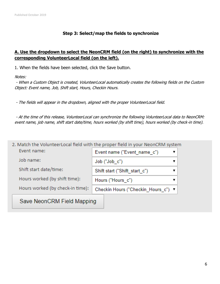### **Step 3: Select/map the fields to synchronize**

## **A. Use the dropdown to select the NeonCRM field (on the right) to synchronize with the corresponding VolunteerLocal field (on the left).**

1. When the fields have been selected, click the Save button.

Notes:

- When a Custom Object is created, VolunteerLocal automatically creates the following fields on the Custom Object: Event name, Job, Shift start, Hours, Checkin Hours.

- The fields will appear in the dropdown, aligned with the proper VolunteerLocal field.

- At the time of this release, VolunteerLocal can synchronize the following VolunteerLocal data to NeonCRM: event name, job name, shift start date/time, hours worked (by shift time), hours worked (by check-in time).

| 2. Match the VolunteerLocal field with the proper field in your NeonCRM system |                                     |  |
|--------------------------------------------------------------------------------|-------------------------------------|--|
| Event name:                                                                    | Event name ("Event name c")         |  |
| Job name:                                                                      | Job ("Job c")                       |  |
| Shift start date/time:                                                         | Shift start ("Shift start c")       |  |
| Hours worked (by shift time):                                                  | Hours ("Hours c")                   |  |
| Hours worked (by check-in time):                                               | Checkin Hours ("Checkin Hours c") ▼ |  |
| Save NeonCRM Field Mapping                                                     |                                     |  |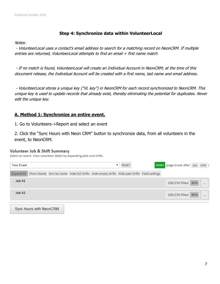#### **Step 4: Synchronize data within VolunteerLocal**

Notes:

- VolunteerLocal uses a contact's email address to search for a matching record on NeonCRM. If multiple entries are returned, VolunteerLocal attempts to find an email + first name match

- If no match is found, VolunteerLocal will create an Individual Account in NeonCRM; at the time of this document release, the Individual Account will be created with a first name, last name and email address.

- VolunteerLocal stores a unique key ("VL key") in NeonCRM for each record synchronized to NeonCRM. This unique key is used to update records that already exist, thereby eliminating the potential for duplicates. Never edit the unique key.

#### **A. Method 1: Synchronize an entire event.**

1. Go to Volunteers->Report and select an event

2. Click the "Sync Hours with Neon CRM" button to synchronize data, from all volunteers in the event, to NeonCRM.

#### **Volunteer Job & Shift Summary**

Select an event. View volunteer detail by expanding jobs and shifts.

| Your Event |  |                                                                                                        | <b>RESET</b> | PRINT (page break after: jobs shifts) |  |
|------------|--|--------------------------------------------------------------------------------------------------------|--------------|---------------------------------------|--|
|            |  | Expand All Show blanks Sort by name Hide full shifts Hide empty shifts Hide past shifts Field settings |              |                                       |  |
| Job#1      |  |                                                                                                        |              | 200/250 filled 80%                    |  |
| Job #2     |  |                                                                                                        |              | 200/250 filled 80%                    |  |

Sync hours with NeonCRM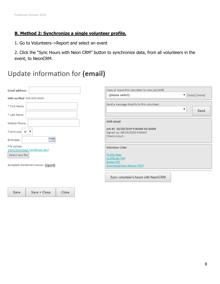Save

Save + Close

Close

#### **B. Method 2: Synchronize a single volunteer profile.**

1. Go to Volunteers->Report and select an event

2. Click the "Sync Hours with Neon CRM" button to synchronize data, from all volunteers in the event, to NeonCRM.

# Update information for (email)

| Email address:<br>SMS verified: XXX-XXX-XXXX   | Copy or move this volunteer to new job/shift.<br>(please select)<br>$\blacktriangledown$ $[copy]$ $[move]$ |  |  |  |
|------------------------------------------------|------------------------------------------------------------------------------------------------------------|--|--|--|
| * First Name                                   | Send a message directly to this volunteer.<br>▼<br>Send                                                    |  |  |  |
| * Last Name                                    |                                                                                                            |  |  |  |
| Mobile Phone                                   | Shift detail                                                                                               |  |  |  |
| T-shirt size $ x $                             | Job #1: 10/20/2029 9:00AM-10:30AM<br>Signed up: 08/23/2029 9:05AM<br>Check-in/out: -                       |  |  |  |
| ٣Ë<br>Birthdate                                |                                                                                                            |  |  |  |
| File upload<br>View/download (certificate.doc) | Volunteer Links                                                                                            |  |  |  |
| Select new file                                | <b>Profile Page</b><br>Certificate PDF                                                                     |  |  |  |
| Accepted disclaimer/waiver: (signed)           | <b>Badge PDF</b><br>Download/view Waiver (PDF)                                                             |  |  |  |
|                                                | Sync volunteer's hours with NeonCRM                                                                        |  |  |  |